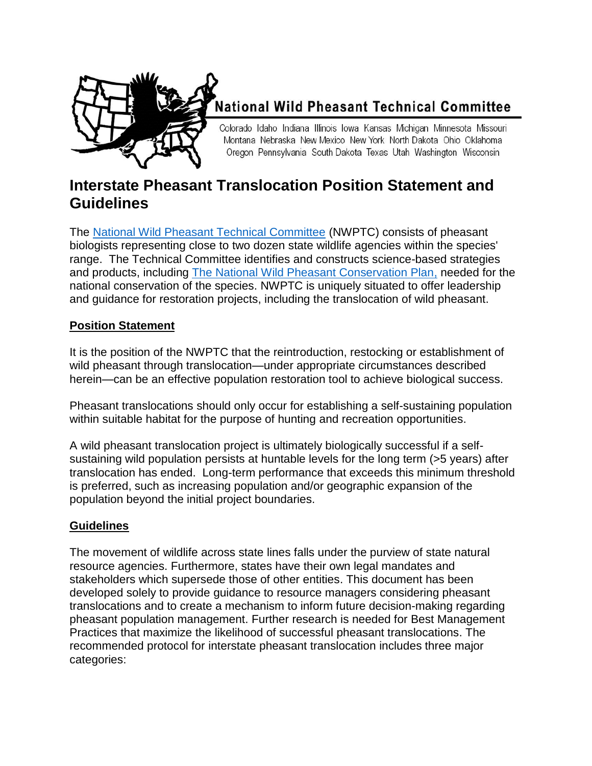

# **National Wild Pheasant Technical Committee**

Colorado Idaho Indiana Illinois Iowa Kansas Michigan Minnesota Missouri Montana Nebraska New Mexico New York North Dakota Ohio Oklahoma Oregon Pennsylvania South Dakota Texas Utah Washington Wisconsin

## **Interstate Pheasant Translocation Position Statement and Guidelines**

The [National Wild Pheasant Technical Committee](http://nationalpheasantplan.org/) (NWPTC) consists of pheasant biologists representing close to two dozen state wildlife agencies within the species' range. The Technical Committee identifies and constructs science-based strategies and products, including [The National Wild Pheasant Conservation Plan,](http://nationalpheasantplan.org/wp-content/uploads/2016/12/NationalWildPheasantConservationPlan2013.pdf) needed for the national conservation of the species. NWPTC is uniquely situated to offer leadership and guidance for restoration projects, including the translocation of wild pheasant.

## **Position Statement**

It is the position of the NWPTC that the reintroduction, restocking or establishment of wild pheasant through translocation—under appropriate circumstances described herein—can be an effective population restoration tool to achieve biological success.

Pheasant translocations should only occur for establishing a self-sustaining population within suitable habitat for the purpose of hunting and recreation opportunities.

A wild pheasant translocation project is ultimately biologically successful if a selfsustaining wild population persists at huntable levels for the long term (>5 years) after translocation has ended. Long-term performance that exceeds this minimum threshold is preferred, such as increasing population and/or geographic expansion of the population beyond the initial project boundaries.

## **Guidelines**

The movement of wildlife across state lines falls under the purview of state natural resource agencies. Furthermore, states have their own legal mandates and stakeholders which supersede those of other entities. This document has been developed solely to provide guidance to resource managers considering pheasant translocations and to create a mechanism to inform future decision-making regarding pheasant population management. Further research is needed for Best Management Practices that maximize the likelihood of successful pheasant translocations. The recommended protocol for interstate pheasant translocation includes three major categories: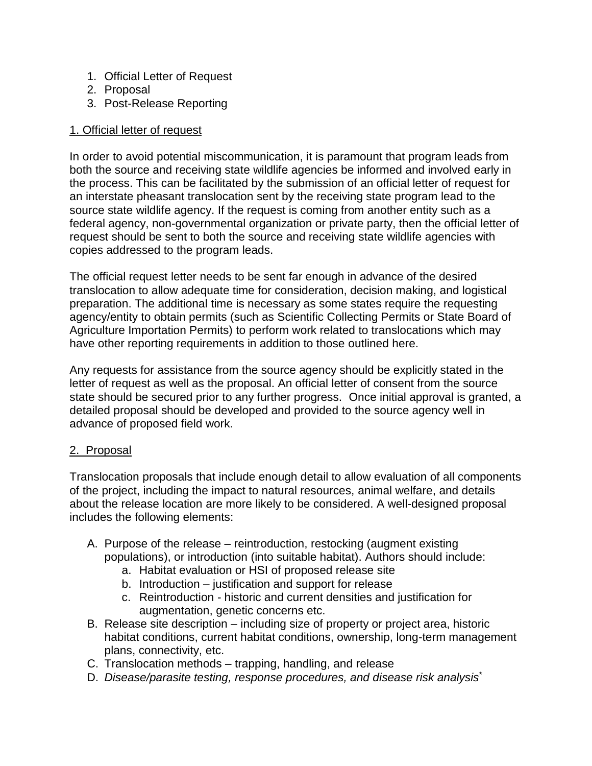- 1. Official Letter of Request
- 2. Proposal
- 3. Post-Release Reporting

#### 1. Official letter of request

In order to avoid potential miscommunication, it is paramount that program leads from both the source and receiving state wildlife agencies be informed and involved early in the process. This can be facilitated by the submission of an official letter of request for an interstate pheasant translocation sent by the receiving state program lead to the source state wildlife agency. If the request is coming from another entity such as a federal agency, non-governmental organization or private party, then the official letter of request should be sent to both the source and receiving state wildlife agencies with copies addressed to the program leads.

The official request letter needs to be sent far enough in advance of the desired translocation to allow adequate time for consideration, decision making, and logistical preparation. The additional time is necessary as some states require the requesting agency/entity to obtain permits (such as Scientific Collecting Permits or State Board of Agriculture Importation Permits) to perform work related to translocations which may have other reporting requirements in addition to those outlined here.

Any requests for assistance from the source agency should be explicitly stated in the letter of request as well as the proposal. An official letter of consent from the source state should be secured prior to any further progress. Once initial approval is granted, a detailed proposal should be developed and provided to the source agency well in advance of proposed field work.

#### 2. Proposal

Translocation proposals that include enough detail to allow evaluation of all components of the project, including the impact to natural resources, animal welfare, and details about the release location are more likely to be considered. A well-designed proposal includes the following elements:

- A. Purpose of the release reintroduction, restocking (augment existing populations), or introduction (into suitable habitat). Authors should include:
	- a. Habitat evaluation or HSI of proposed release site
	- b. Introduction justification and support for release
	- c. Reintroduction historic and current densities and justification for augmentation, genetic concerns etc.
- B. Release site description including size of property or project area, historic habitat conditions, current habitat conditions, ownership, long-term management plans, connectivity, etc.
- C. Translocation methods trapping, handling, and release
- D. *Disease/parasite testing, response procedures, and disease risk analysis*\*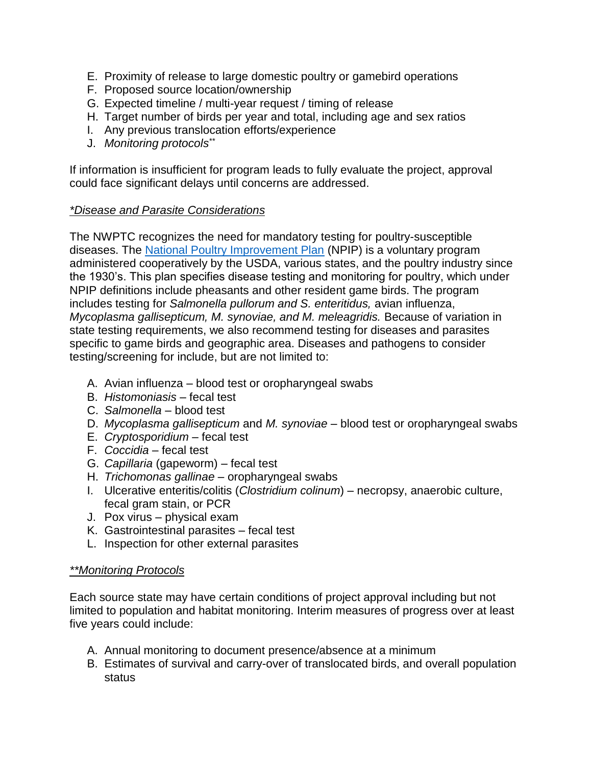- E. Proximity of release to large domestic poultry or gamebird operations
- F. Proposed source location/ownership
- G. Expected timeline / multi-year request / timing of release
- H. Target number of birds per year and total, including age and sex ratios
- I. Any previous translocation efforts/experience
- J. *Monitoring protocols \*\**

If information is insufficient for program leads to fully evaluate the project, approval could face significant delays until concerns are addressed.

#### *\*Disease and Parasite Considerations*

The NWPTC recognizes the need for mandatory testing for poultry-susceptible diseases. The [National Poultry Improvement Plan](http://www.poultryimprovement.org/default.cfm?CFID=1131323&CFTOKEN=565c4505a8516c41-6A05D0ED-D464-3A06-49F6C52B830F001F) (NPIP) is a voluntary program administered cooperatively by the USDA, various states, and the poultry industry since the 1930's. This plan specifies disease testing and monitoring for poultry, which under NPIP definitions include pheasants and other resident game birds. The program includes testing for *Salmonella pullorum and S. enteritidus,* avian influenza, *Mycoplasma gallisepticum, M. synoviae, and M. meleagridis.* Because of variation in state testing requirements, we also recommend testing for diseases and parasites specific to game birds and geographic area. Diseases and pathogens to consider testing/screening for include, but are not limited to:

- A. Avian influenza blood test or oropharyngeal swabs
- B. *Histomoniasis* fecal test
- C. *Salmonella* blood test
- D. *Mycoplasma gallisepticum* and *M. synoviae* blood test or oropharyngeal swabs
- E. *Cryptosporidium* fecal test
- F. *Coccidia* fecal test
- G. *Capillaria* (gapeworm) fecal test
- H. *Trichomonas gallinae* oropharyngeal swabs
- I. Ulcerative enteritis/colitis (*Clostridium colinum*) necropsy, anaerobic culture, fecal gram stain, or PCR
- J. Pox virus physical exam
- K. Gastrointestinal parasites fecal test
- L. Inspection for other external parasites

#### *\*\*Monitoring Protocols*

Each source state may have certain conditions of project approval including but not limited to population and habitat monitoring. Interim measures of progress over at least five years could include:

- A. Annual monitoring to document presence/absence at a minimum
- B. Estimates of survival and carry-over of translocated birds, and overall population status